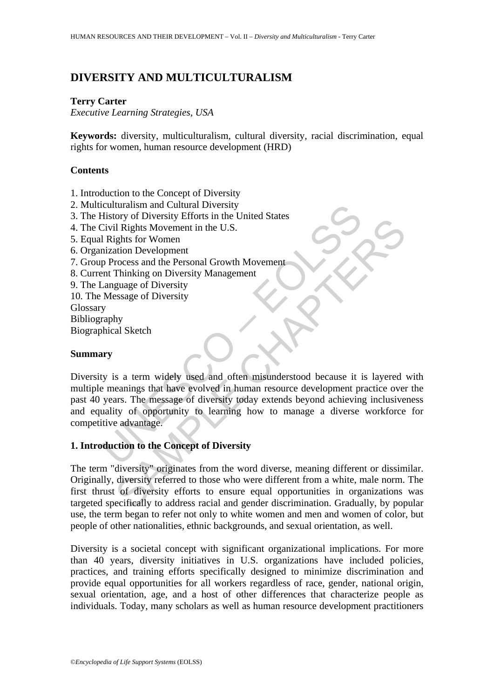# **DIVERSITY AND MULTICULTURALISM**

### **Terry Carter**

*Executive Learning Strategies, USA* 

**Keywords:** diversity, multiculturalism, cultural diversity, racial discrimination, equal rights for women, human resource development (HRD)

## **Contents**

- 1. Introduction to the Concept of Diversity
- 2. Multiculturalism and Cultural Diversity
- 3. The History of Diversity Efforts in the United States
- 4. The Civil Rights Movement in the U.S.
- 5. Equal Rights for Women
- 6. Organization Development
- 7. Group Process and the Personal Growth Movement
- 8. Current Thinking on Diversity Management
- 9. The Language of Diversity
- 10. The Message of Diversity

Glossary

Bibliography

Biographical Sketch

### **Summary**

Continued Internal Diversity<br>
Existery of Diversity Efforts in the United States<br>
Civil Rights Movement in the U.S.<br>
Civil Rights for Women<br>
inzation Development<br>
p Process and the Personal Growth Movement<br>
Message of Dive The U.S.<br>
Substitute of the Personal Growth Movement<br>
II Rights for Women<br>
Incores and the Personal Growth Movement<br>
Thinking on Diversity<br>
Thinking on Diversity<br>
Sesage of Diversity<br>
Sesage of Diversity<br>
Ny<br>
al Sketch<br>
Sa Diversity is a term widely used and often misunderstood because it is layered with multiple meanings that have evolved in human resource development practice over the past 40 years. The message of diversity today extends beyond achieving inclusiveness and equality of opportunity to learning how to manage a diverse workforce for competitive advantage.

## **1. Introduction to the Concept of Diversity**

The term "diversity" originates from the word diverse, meaning different or dissimilar. Originally, diversity referred to those who were different from a white, male norm. The first thrust of diversity efforts to ensure equal opportunities in organizations was targeted specifically to address racial and gender discrimination. Gradually, by popular use, the term began to refer not only to white women and men and women of color, but people of other nationalities, ethnic backgrounds, and sexual orientation, as well.

Diversity is a societal concept with significant organizational implications. For more than 40 years, diversity initiatives in U.S. organizations have included policies, practices, and training efforts specifically designed to minimize discrimination and provide equal opportunities for all workers regardless of race, gender, national origin, sexual orientation, age, and a host of other differences that characterize people as individuals. Today, many scholars as well as human resource development practitioners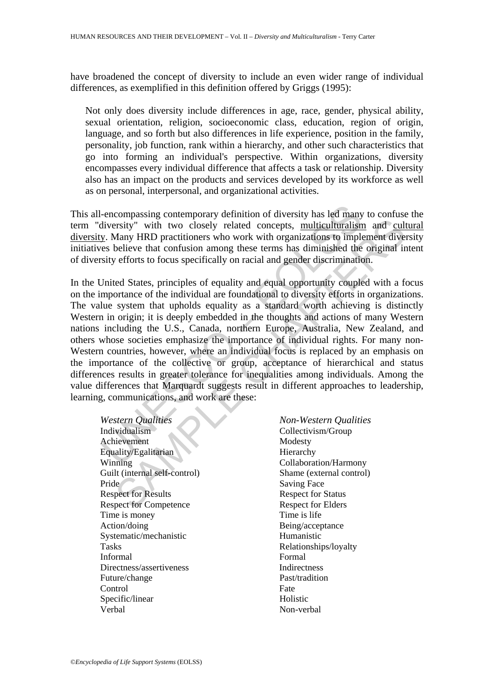have broadened the concept of diversity to include an even wider range of individual differences, as exemplified in this definition offered by Griggs (1995):

Not only does diversity include differences in age, race, gender, physical ability, sexual orientation, religion, socioeconomic class, education, region of origin, language, and so forth but also differences in life experience, position in the family, personality, job function, rank within a hierarchy, and other such characteristics that go into forming an individual's perspective. Within organizations, diversity encompasses every individual difference that affects a task or relationship. Diversity also has an impact on the products and services developed by its workforce as well as on personal, interpersonal, and organizational activities.

This all-encompassing contemporary definition of diversity has led many to confuse the term "diversity" with two closely related concepts, multiculturalism and cultural diversity. Many HRD practitioners who work with organizations to implement diversity initiatives believe that confusion among these terms has diminished the original intent of diversity efforts to focus specifically on racial and gender discrimination.

encompassing contemporary definition of diversity has led many<br>
ilversity" with two closely related concepts, <u>multiculturalism</u><br>
11 EV Many HRD practitioners who work with organizations to imples<br>
believe that confusion a Example 10<br>
State Monderover Monderover Monderover Monderover Monderover Maria Soletic Results<br>
Theorem Respect For States Respect For States Respect For States Respect For Chapter Respect For States Procedure 20<br>
Mondero In the United States, principles of equality and equal opportunity coupled with a focus on the importance of the individual are foundational to diversity efforts in organizations. The value system that upholds equality as a standard worth achieving is distinctly Western in origin; it is deeply embedded in the thoughts and actions of many Western nations including the U.S., Canada, northern Europe, Australia, New Zealand, and others whose societies emphasize the importance of individual rights. For many non-Western countries, however, where an individual focus is replaced by an emphasis on the importance of the collective or group, acceptance of hierarchical and status differences results in greater tolerance for inequalities among individuals. Among the value differences that Marquardt suggests result in different approaches to leadership, learning, communications, and work are these:

*Western Qualities Non-Western Qualities* Individualism Collectivism/Group Achievement Modesty Equality/Egalitarian Hierarchy Winning Collaboration/Harmony Guilt (internal self-control) Shame (external control) Pride Saving Face Respect for Results Respect for Status Respect for Competence Respect for Elders Time is money Time is life Action/doing Being/acceptance Systematic/mechanistic Humanistic Tasks Relationships/loyalty Informal Formal Directness/assertiveness Indirectness Future/change Past/tradition Control Fate Specific/linear Holistic Verbal Non-verbal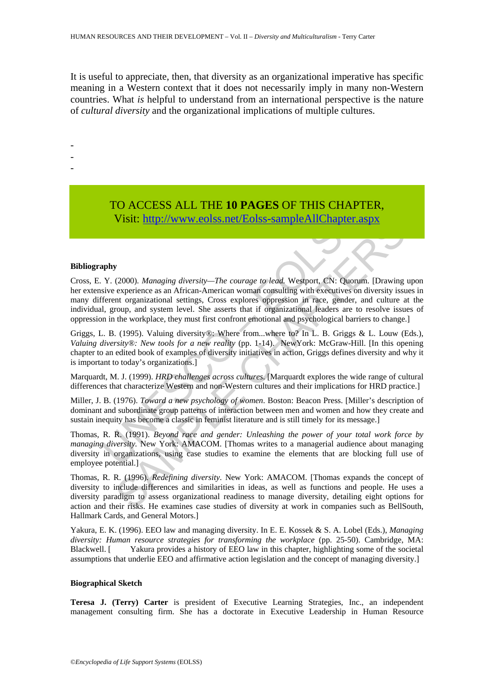It is useful to appreciate, then, that diversity as an organizational imperative has specific meaning in a Western context that it does not necessarily imply in many non-Western countries. What *is* helpful to understand from an international perspective is the nature of *cultural diversity* and the organizational implications of multiple cultures.

-

- -
- -

# TO ACCESS ALL THE **10 PAGES** OF THIS CHAPTER, Visit: http://www.eolss.net/Eolss-sampleAllChapter.aspx

#### **Bibliography**

**TO ACCE[SS](https://www.eolss.net/ebooklib/sc_cart.aspx?File=E1-10-03-03) ALL THE 10 PAGES OF THIS CHAP!**<br>Visit: http://www.eolss.net/Eolss-sampleAllChapter.a<br>phy<br>Y. (2000). *Managing diversity—The courage to lead*. Westport, CN: Quont<br>sive experience as an African-American woman con **VISIL: http://www.eolss.net/Eolss-sampieAllt.Inapter.aspx**<br>
(2000). *Managing diversity—The courage to lead*, **Westport, CN:** Quorum. [Drawing<br>
experience as an African-American woman consulting with executives on dive Cross, E. Y. (2000). *Managing diversity—The courage to lead.* Westport, CN: Quorum. [Drawing upon her extensive experience as an African-American woman consulting with executives on diversity issues in many different organizational settings, Cross explores oppression in race, gender, and culture at the individual, group, and system level. She asserts that if organizational leaders are to resolve issues of oppression in the workplace, they must first confront emotional and psychological barriers to change.]

Griggs, L. B. (1995). Valuing diversity®: Where from...where to? In L. B. Griggs & L. Louw (Eds.), *Valuing diversity®: New tools for a new reality* (pp. 1-14). NewYork: McGraw-Hill. [In this opening chapter to an edited book of examples of diversity initiatives in action, Griggs defines diversity and why it is important to today's organizations.]

Marquardt, M. J. (1999). *HRD challenges across cultures*. [Marquardt explores the wide range of cultural differences that characterize Western and non-Western cultures and their implications for HRD practice.]

Miller, J. B. (1976). *Toward a new psychology of women*. Boston: Beacon Press. [Miller's description of dominant and subordinate group patterns of interaction between men and women and how they create and sustain inequity has become a classic in feminist literature and is still timely for its message.]

Thomas, R. R. (1991). *Beyond race and gender: Unleashing the power of your total work force by managing diversity.* New York: AMACOM. [Thomas writes to a managerial audience about managing diversity in organizations, using case studies to examine the elements that are blocking full use of employee potential.]

Thomas, R. R. (1996). *Redefining diversity*. New York: AMACOM. [Thomas expands the concept of diversity to include differences and similarities in ideas, as well as functions and people. He uses a diversity paradigm to assess organizational readiness to manage diversity, detailing eight options for action and their risks. He examines case studies of diversity at work in companies such as BellSouth, Hallmark Cards, and General Motors.]

Yakura, E. K. (1996). EEO law and managing diversity. In E. E. Kossek & S. A. Lobel (Eds.), *Managing diversity: Human resource strategies for transforming the workplace* (pp. 25-50). Cambridge, MA: Blackwell. [ Yakura provides a history of EEO law in this chapter, highlighting some of the societal assumptions that underlie EEO and affirmative action legislation and the concept of managing diversity.]

#### **Biographical Sketch**

**Teresa J. (Terry) Carter** is president of Executive Learning Strategies, Inc., an independent management consulting firm. She has a doctorate in Executive Leadership in Human Resource